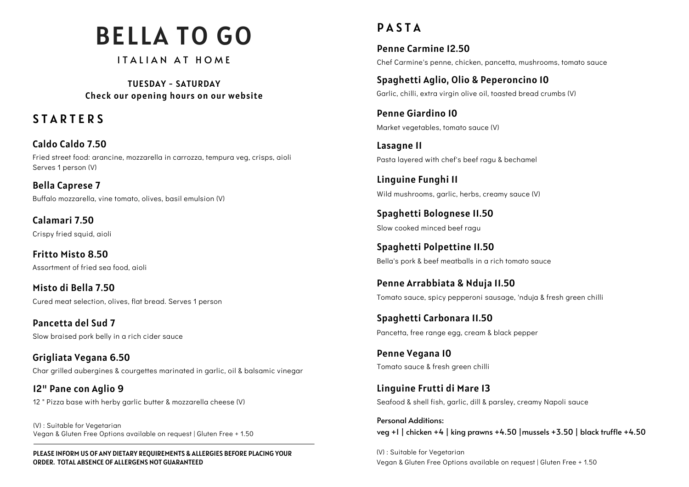# BELLA TO GO

ITAIIAN AT HOMF

TUESDAY - SATURDAY Check our opening hours on our website

# **STARTFRS**

Caldo Caldo 7.50 Fried street food: arancine, mozzarella in carrozza, tempura veg, crisps, aioli Serves 1 person (V)

Bella Caprese 7 Buffalo mozzarella, vine tomato, olives, basil emulsion (V)

Calamari 7.50 Crispy fried squid, aioli

Fritto Misto 8.50 Assortment of fried sea food, aioli

Cured meat selection, olives, flat bread. Serves 1 person Misto di Bella 7.50

Slow braised pork belly in a rich cider sauce Pancetta del Sud 7

Grigliata Vegana 6.50 Char grilled aubergines & courgettes marinated in garlic, oil & balsamic vinegar

12" Pane con Aglio 9 12 " Pizza base with herby garlic butter & mozzarella cheese (V)

(V) : Suitable for Vegetarian Vegan & Gluten Free Options available on request | Gluten Free + 1.50

PLEASE INFORM US OF ANY DIETARY REQUIREMENTS & ALLERGIES BEFORE PLACING YOUR ORDER. TOTAL ABSENCE OF ALLERGENS NOT GUARANTEED

# **PASTA**

Penne Carmine 12.50 Chef Carmine's penne, chicken, pancetta, mushrooms, tomato sauce

Spaghetti Aglio, Olio & Peperoncino 10 Garlic, chilli, extra virgin olive oil, toasted bread crumbs (V)

Penne Giardino 10 Market vegetables, tomato sauce (V)

Lasagne 11 Pasta layered with chef's beef ragu & bechamel

Linguine Funghi 11 Wild mushrooms, garlic, herbs, creamy sauce (V)

Spaghetti Bolognese 11.50 Slow cooked minced beef ragu

Spaghetti Polpettine 11.50 Bella's pork & beef meatballs in a rich tomato sauce

Penne Arrabbiata & Nduja 11.50 Tomato sauce, spicy pepperoni sausage, 'nduja & fresh green chilli

Spaghetti Carbonara 11.50 Pancetta, free range egg, cream & black pepper

Penne Vegana 10 Tomato sauce & fresh green chilli

Linguine Frutti di Mare 13 Seafood & shell fish, garlic, dill & parsley, creamy Napoli sauce

Personal Additions: veg +1 | chicken +4 | king prawns +4.50 |mussels +3.50 | black truffle +4.50

(V) : Suitable for Vegetarian Vegan & Gluten Free Options available on request | Gluten Free + 1.50